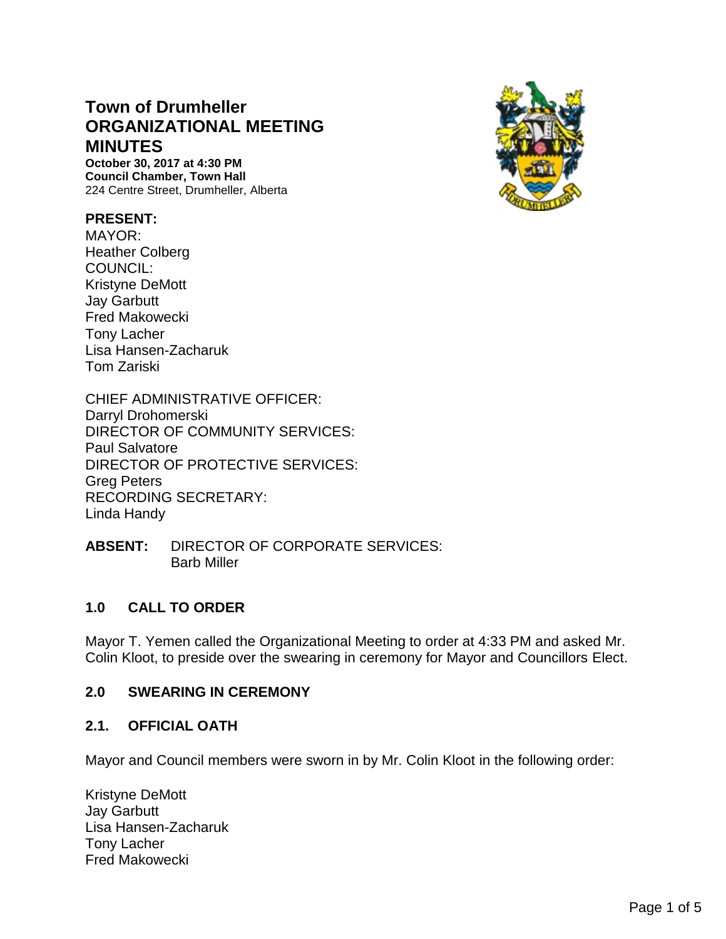# **Town of Drumheller ORGANIZATIONAL MEETING MINUTES**

**October 30, 2017 at 4:30 PM Council Chamber, Town Hall** 224 Centre Street, Drumheller, Alberta

### **PRESENT:**

MAYOR: Heather Colberg COUNCIL: Kristyne DeMott Jay Garbutt Fred Makowecki Tony Lacher Lisa Hansen-Zacharuk Tom Zariski

CHIEF ADMINISTRATIVE OFFICER: Darryl Drohomerski DIRECTOR OF COMMUNITY SERVICES: Paul Salvatore DIRECTOR OF PROTECTIVE SERVICES: Greg Peters RECORDING SECRETARY: Linda Handy

**ABSENT:** DIRECTOR OF CORPORATE SERVICES: Barb Miller

### **1.0 CALL TO ORDER**

Mayor T. Yemen called the Organizational Meeting to order at 4:33 PM and asked Mr. Colin Kloot, to preside over the swearing in ceremony for Mayor and Councillors Elect.

### **2.0 SWEARING IN CEREMONY**

#### **2.1. OFFICIAL OATH**

Mayor and Council members were sworn in by Mr. Colin Kloot in the following order:

Kristyne DeMott Jay Garbutt Lisa Hansen-Zacharuk Tony Lacher Fred Makowecki

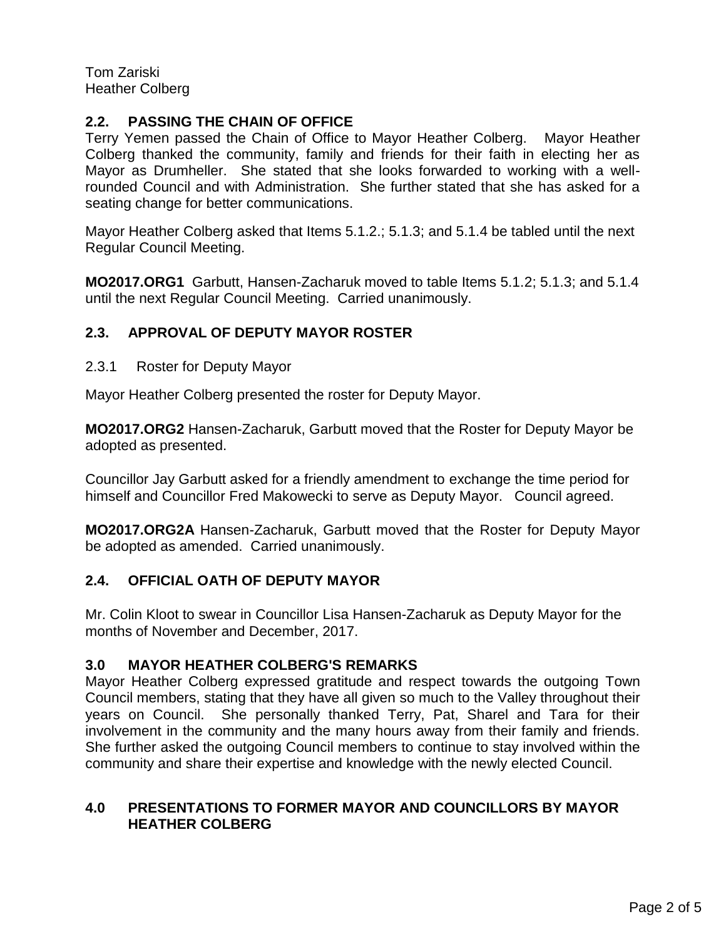Tom Zariski Heather Colberg

### **2.2. PASSING THE CHAIN OF OFFICE**

Terry Yemen passed the Chain of Office to Mayor Heather Colberg. Mayor Heather Colberg thanked the community, family and friends for their faith in electing her as Mayor as Drumheller. She stated that she looks forwarded to working with a wellrounded Council and with Administration. She further stated that she has asked for a seating change for better communications.

Mayor Heather Colberg asked that Items 5.1.2.; 5.1.3; and 5.1.4 be tabled until the next Regular Council Meeting.

**MO2017.ORG1** Garbutt, Hansen-Zacharuk moved to table Items 5.1.2; 5.1.3; and 5.1.4 until the next Regular Council Meeting. Carried unanimously.

### **2.3. APPROVAL OF DEPUTY MAYOR ROSTER**

2.3.1 Roster for Deputy Mayor

Mayor Heather Colberg presented the roster for Deputy Mayor.

**MO2017.ORG2** Hansen-Zacharuk, Garbutt moved that the Roster for Deputy Mayor be adopted as presented.

Councillor Jay Garbutt asked for a friendly amendment to exchange the time period for himself and Councillor Fred Makowecki to serve as Deputy Mayor. Council agreed.

**MO2017.ORG2A** Hansen-Zacharuk, Garbutt moved that the Roster for Deputy Mayor be adopted as amended. Carried unanimously.

### **2.4. OFFICIAL OATH OF DEPUTY MAYOR**

Mr. Colin Kloot to swear in Councillor Lisa Hansen-Zacharuk as Deputy Mayor for the months of November and December, 2017.

### **3.0 MAYOR HEATHER COLBERG'S REMARKS**

Mayor Heather Colberg expressed gratitude and respect towards the outgoing Town Council members, stating that they have all given so much to the Valley throughout their years on Council. She personally thanked Terry, Pat, Sharel and Tara for their involvement in the community and the many hours away from their family and friends. She further asked the outgoing Council members to continue to stay involved within the community and share their expertise and knowledge with the newly elected Council.

### **4.0 PRESENTATIONS TO FORMER MAYOR AND COUNCILLORS BY MAYOR HEATHER COLBERG**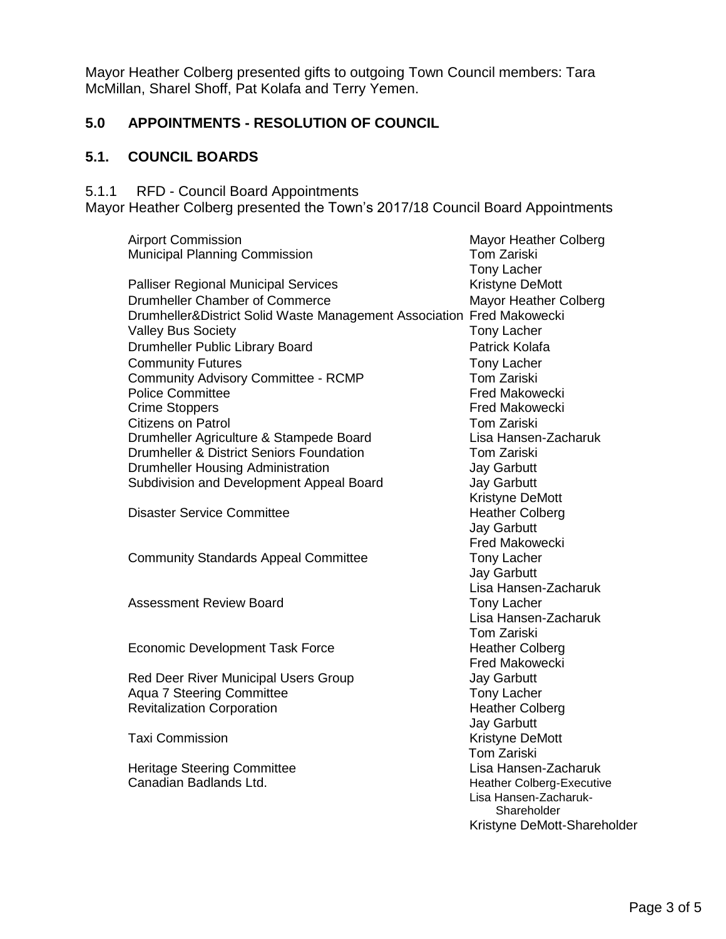Mayor Heather Colberg presented gifts to outgoing Town Council members: Tara McMillan, Sharel Shoff, Pat Kolafa and Terry Yemen.

# **5.0 APPOINTMENTS - RESOLUTION OF COUNCIL**

# **5.1. COUNCIL BOARDS**

5.1.1 RFD - Council Board Appointments

Mayor Heather Colberg presented the Town's 2017/18 Council Board Appointments

| <b>Airport Commission</b>                                             | Mayor Heather Colberg            |
|-----------------------------------------------------------------------|----------------------------------|
| <b>Municipal Planning Commission</b>                                  | <b>Tom Zariski</b>               |
|                                                                       | <b>Tony Lacher</b>               |
| <b>Palliser Regional Municipal Services</b>                           | Kristyne DeMott                  |
| <b>Drumheller Chamber of Commerce</b>                                 | Mayor Heather Colberg            |
| Drumheller&District Solid Waste Management Association Fred Makowecki |                                  |
| <b>Valley Bus Society</b>                                             | <b>Tony Lacher</b>               |
| Drumheller Public Library Board                                       | Patrick Kolafa                   |
| <b>Community Futures</b>                                              | <b>Tony Lacher</b>               |
| <b>Community Advisory Committee - RCMP</b>                            | <b>Tom Zariski</b>               |
| <b>Police Committee</b>                                               | <b>Fred Makowecki</b>            |
| <b>Crime Stoppers</b>                                                 | <b>Fred Makowecki</b>            |
| <b>Citizens on Patrol</b>                                             | <b>Tom Zariski</b>               |
| Drumheller Agriculture & Stampede Board                               | Lisa Hansen-Zacharuk             |
| Drumheller & District Seniors Foundation                              | <b>Tom Zariski</b>               |
| <b>Drumheller Housing Administration</b>                              | <b>Jay Garbutt</b>               |
| Subdivision and Development Appeal Board                              | <b>Jay Garbutt</b>               |
|                                                                       | Kristyne DeMott                  |
| <b>Disaster Service Committee</b>                                     | <b>Heather Colberg</b>           |
|                                                                       | <b>Jay Garbutt</b>               |
|                                                                       | <b>Fred Makowecki</b>            |
| <b>Community Standards Appeal Committee</b>                           | <b>Tony Lacher</b>               |
|                                                                       | <b>Jay Garbutt</b>               |
|                                                                       | Lisa Hansen-Zacharuk             |
| <b>Assessment Review Board</b>                                        | <b>Tony Lacher</b>               |
|                                                                       | Lisa Hansen-Zacharuk             |
|                                                                       | <b>Tom Zariski</b>               |
| <b>Economic Development Task Force</b>                                | <b>Heather Colberg</b>           |
|                                                                       | <b>Fred Makowecki</b>            |
| Red Deer River Municipal Users Group                                  | <b>Jay Garbutt</b>               |
| <b>Aqua 7 Steering Committee</b>                                      | <b>Tony Lacher</b>               |
| <b>Revitalization Corporation</b>                                     | <b>Heather Colberg</b>           |
|                                                                       | <b>Jay Garbutt</b>               |
| <b>Taxi Commission</b>                                                | Kristyne DeMott                  |
|                                                                       | <b>Tom Zariski</b>               |
| <b>Heritage Steering Committee</b>                                    | Lisa Hansen-Zacharuk             |
| Canadian Badlands Ltd.                                                | <b>Heather Colberg-Executive</b> |
|                                                                       | Lisa Hansen-Zacharuk-            |
|                                                                       | Shareholder                      |
|                                                                       | Kristyne DeMott-Shareholder      |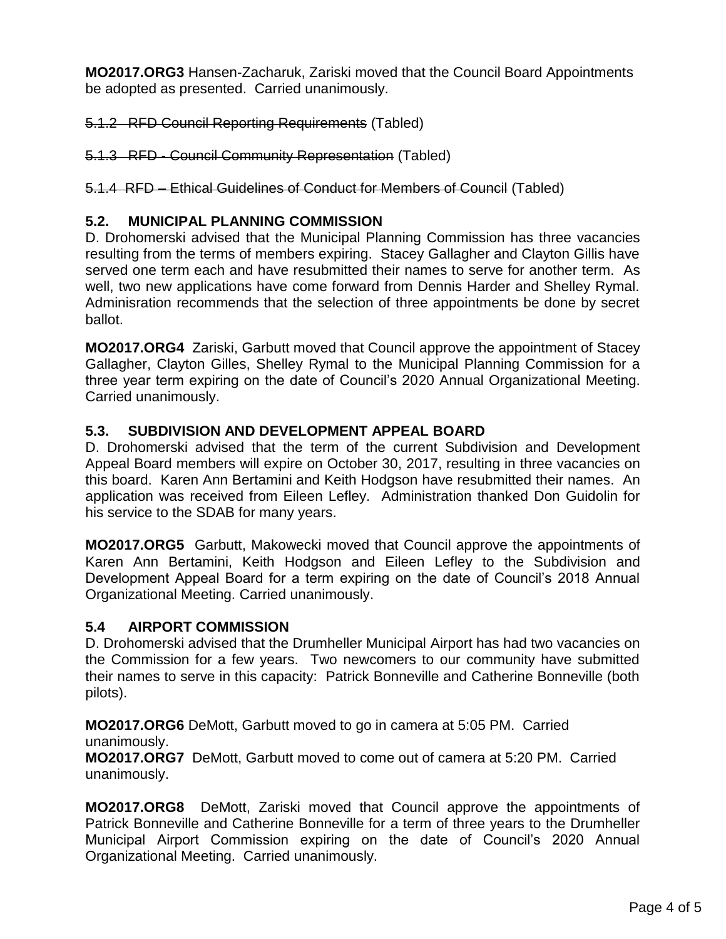**MO2017.ORG3** Hansen-Zacharuk, Zariski moved that the Council Board Appointments be adopted as presented. Carried unanimously.

5.1.2 RFD Council Reporting Requirements (Tabled)

5.1.3 RFD - Council Community Representation (Tabled)

5.1.4 RFD – Ethical Guidelines of Conduct for Members of Council (Tabled)

### **5.2. MUNICIPAL PLANNING COMMISSION**

D. Drohomerski advised that the Municipal Planning Commission has three vacancies resulting from the terms of members expiring. Stacey Gallagher and Clayton Gillis have served one term each and have resubmitted their names to serve for another term. As well, two new applications have come forward from Dennis Harder and Shelley Rymal. Adminisration recommends that the selection of three appointments be done by secret ballot.

**MO2017.ORG4** Zariski, Garbutt moved that Council approve the appointment of Stacey Gallagher, Clayton Gilles, Shelley Rymal to the Municipal Planning Commission for a three year term expiring on the date of Council's 2020 Annual Organizational Meeting. Carried unanimously.

### **5.3. SUBDIVISION AND DEVELOPMENT APPEAL BOARD**

D. Drohomerski advised that the term of the current Subdivision and Development Appeal Board members will expire on October 30, 2017, resulting in three vacancies on this board. Karen Ann Bertamini and Keith Hodgson have resubmitted their names. An application was received from Eileen Lefley. Administration thanked Don Guidolin for his service to the SDAB for many years.

**MO2017.ORG5** Garbutt, Makowecki moved that Council approve the appointments of Karen Ann Bertamini, Keith Hodgson and Eileen Lefley to the Subdivision and Development Appeal Board for a term expiring on the date of Council's 2018 Annual Organizational Meeting. Carried unanimously.

### **5.4 AIRPORT COMMISSION**

D. Drohomerski advised that the Drumheller Municipal Airport has had two vacancies on the Commission for a few years. Two newcomers to our community have submitted their names to serve in this capacity: Patrick Bonneville and Catherine Bonneville (both pilots).

**MO2017.ORG6** DeMott, Garbutt moved to go in camera at 5:05 PM. Carried unanimously.

**MO2017.ORG7** DeMott, Garbutt moved to come out of camera at 5:20 PM. Carried unanimously.

**MO2017.ORG8** DeMott, Zariski moved that Council approve the appointments of Patrick Bonneville and Catherine Bonneville for a term of three years to the Drumheller Municipal Airport Commission expiring on the date of Council's 2020 Annual Organizational Meeting. Carried unanimously.